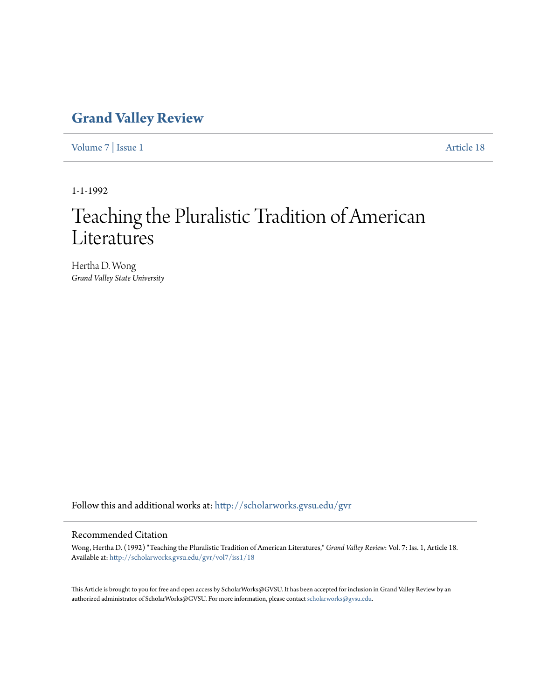# **[Grand Valley Review](http://scholarworks.gvsu.edu/gvr?utm_source=scholarworks.gvsu.edu%2Fgvr%2Fvol7%2Fiss1%2F18&utm_medium=PDF&utm_campaign=PDFCoverPages)**

[Volume 7](http://scholarworks.gvsu.edu/gvr/vol7?utm_source=scholarworks.gvsu.edu%2Fgvr%2Fvol7%2Fiss1%2F18&utm_medium=PDF&utm_campaign=PDFCoverPages) | [Issue 1](http://scholarworks.gvsu.edu/gvr/vol7/iss1?utm_source=scholarworks.gvsu.edu%2Fgvr%2Fvol7%2Fiss1%2F18&utm_medium=PDF&utm_campaign=PDFCoverPages) [Article 18](http://scholarworks.gvsu.edu/gvr/vol7/iss1/18?utm_source=scholarworks.gvsu.edu%2Fgvr%2Fvol7%2Fiss1%2F18&utm_medium=PDF&utm_campaign=PDFCoverPages)

1-1-1992

# Teaching the Pluralistic Tradition of American Literatures

Hertha D. Wong *Grand Valley State University*

Follow this and additional works at: [http://scholarworks.gvsu.edu/gvr](http://scholarworks.gvsu.edu/gvr?utm_source=scholarworks.gvsu.edu%2Fgvr%2Fvol7%2Fiss1%2F18&utm_medium=PDF&utm_campaign=PDFCoverPages)

#### Recommended Citation

Wong, Hertha D. (1992) "Teaching the Pluralistic Tradition of American Literatures," *Grand Valley Review*: Vol. 7: Iss. 1, Article 18. Available at: [http://scholarworks.gvsu.edu/gvr/vol7/iss1/18](http://scholarworks.gvsu.edu/gvr/vol7/iss1/18?utm_source=scholarworks.gvsu.edu%2Fgvr%2Fvol7%2Fiss1%2F18&utm_medium=PDF&utm_campaign=PDFCoverPages)

This Article is brought to you for free and open access by ScholarWorks@GVSU. It has been accepted for inclusion in Grand Valley Review by an authorized administrator of ScholarWorks@GVSU. For more information, please contact [scholarworks@gvsu.edu.](mailto:scholarworks@gvsu.edu)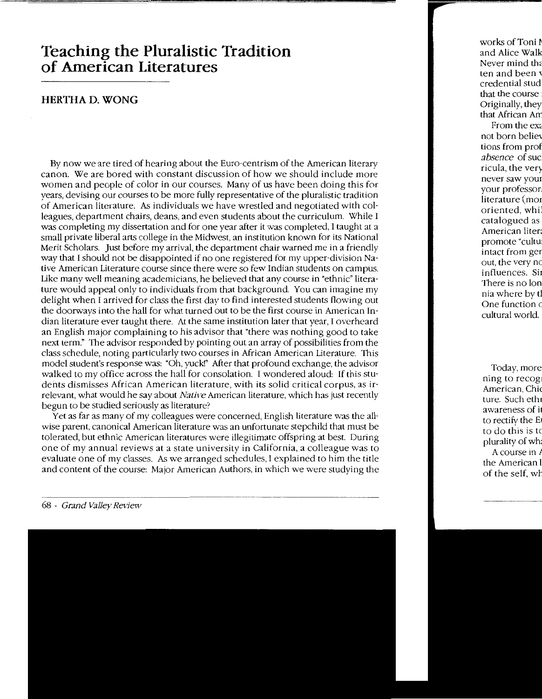# **Teaching the Pluralistic Tradition of American Literatures**

### **HERTIIA D. WONG**

By now we are tired of hearing about the Euro-centrism of the American literary canon. We are bored with constant discussion of how we should include more women and people of color in our courses. Many of us have been doing this for years, devising our courses to be more fully representative of the pluralistic tradition of American literature. As individuals we have wrestled and negotiated with colleagues, department chairs, deans, and even students about the curriculum. While I was completing my dissertation and for one year after it was completed, I taught at a small private liberal arts college in the Midwest, an institution known for its National Merit Scholars. Just before my arrival, the department chair warned me in a friendly way that I should not be disappointed if no one registered for my upper-division Native American Literature course since there were so few Indian students on campus. Like many well meaning academicians, he believed that any course in "ethnic" literature would appeal only to individuals from that background. You can imagine my delight when I arrived for class the first day to find interested students flowing out the doorways into the hall for what turned out to be the first course in American Indian literature ever taught there. At the same institution later that year, I overheard an English major complaining to his advisor that "there was nothing good to take next term." The advisor responded by pointing out an array of possibilities from the class schedule, noting particularly two courses in African American Literature. This model student's response was: "Oh, yuck!" After that profound exchange, the advisor walked to my office across the hall for consolation. I wondered aloud: If this students dismisses African American literature, with its solid critical corpus, as irrelevant, what would he say about Native American literature, which has just recently begun to be studied seriously as literature?

Yet as far as many of my colleagues were concerned, English literature was the allwise parent, canonical American literature was an unfortunate stepchild that must be tolerated, but ethnic American literature<> were illegitimate offspring at best. During one of my annual reviews at a state university in California, a colleague was to evaluate one of my classes. As we arranged schedules, I explained to him the title and content of the course: Major American Authors, in which we were studying the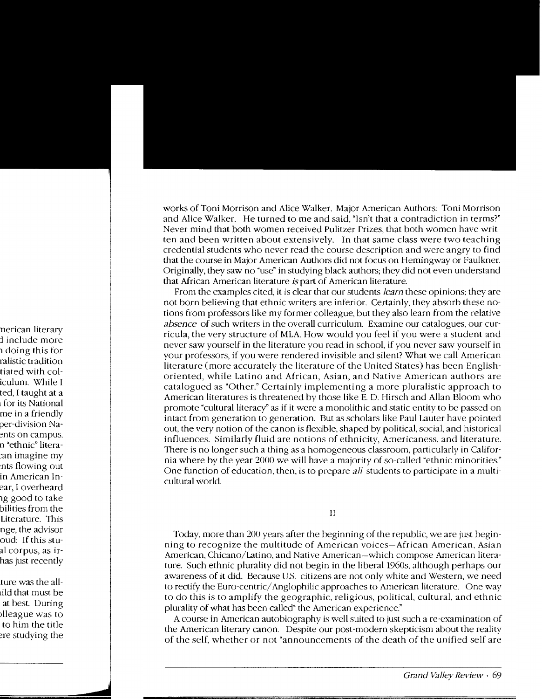works of Toni Morrison and Alice Walker. Major American Authors: Toni Morrison and Alice Walker. He turned to me and said, "Isn't that a contradiction in terms?" Never mind that both women received Pulitzer Prizes. that both women have written and been written about extensively. In that same class were two teaching credential students who never read the course description and were angry to find that the course in Major American Authors did not focus on Hemingway or Faulkner. Originally, they saw no "use" in studying black authors; they did not even understand that African American literature *is* part of American literature.

From the examples cited, it is clear that our students *learn* these opinions: they are not born believing that ethnic writers are inferior. Certainly, they absorb these notions from professors like my former colleague. but they also learn from the relative *absence* of such writers in the overall curriculum. Examine our catalogues. our curricula, the very structure of MLA. How would you feel if you were a student and never saw yourself in the literature you read in school, if you never saw yourself in your professors. if you were rendered invisible and silent? What we call American literature (more accurately the literature of the United States) has been Englishoriented. while Latino and African. Asian. and Native American authors are catalogued as "Other." Certainly implementing a more pluralistic approach to American literatures is threatened by those like E. D. Hirsch and Allan Bloom who promote "cultural literacy" as if it were a monolithic and static entity to be passed on intact from generation to generation. But as scholars like Paul Lauter have pointed out, the very notion of the canon is flexible, shaped by political, social, and historical influences. Similarly fluid are notions of ethnicity, Americaness. and literature. There is no longer such a thing as a homogeneous classroom. particularly in California where by the year 2000 we will have a majority of so-called "ethnic minorities." One function of education. then, is to prepare *all* students to participate in a multicultural world.

II

Today, more than 200 years after the beginning of the republic, we are just beginning to recognize the multitude of American voices-African American. Asian American, Chicano/Latino, and Native American-which compose American literature. Such ethnic plurality did not begin in the liberal 1960s, although perhaps our awareness of it did. Because U.S. citizens are not only white and Western. we need to rectify the Euro-centric/ Anglophilic approaches to American literature. One way to do this is to amplify the geographic, religious, political, cultural, and ethnic plurality of what has been called" the American experience."

A course in American autobiography is well suited to just such a re-examination of the American literary canon. Despite our post-modern skepticism about the reality of the self, whether or not "announcements of the death of the unified self are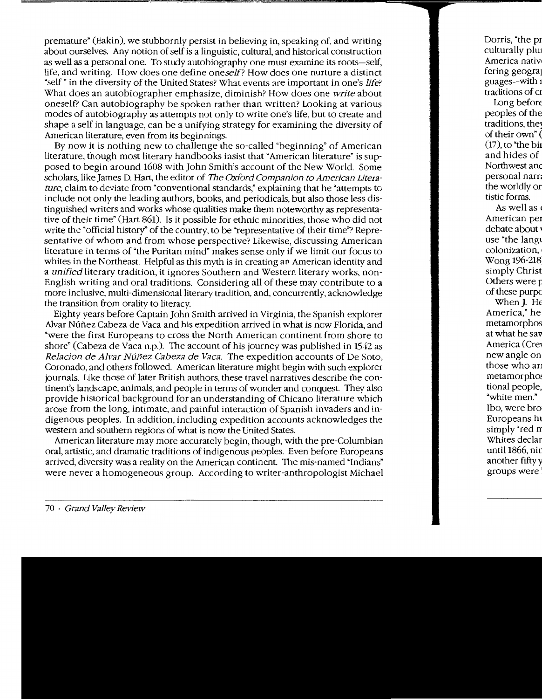premature" (Eakin), we stubbornly persist in believing in, speaking of, and writing about ourselves. Any notion of self is a linguistic, cultural, and historical construction as well as a personal one. To study autobiography one must examine its roots-self, life, and writing. How does one define oneself? How does one nurture a distinct "self" in the diversity of the United States? What events are important in one's life? What does an autobiographer emphasize, diminish? How does one write about oneself? Can autobiography be spoken rather than written? Looking at various modes of autobiography as attempts not only to write one's life, but to create and shape a self in language, can be a unifying strategy for examining the diversity of American literature, even from its beginnings.

By now it is nothing new to challenge the so-called "beginning" of American literature, though most literary handbooks insist that "American literature" is supposed to begin around 1608 with John Smith's account of the New World. Some scholars, like James D. Hart, the editor of The Oxford Companion to American literature, claim to deviate from "conventional standards," explaining that he "attempts to include not only the leading authors, books, and periodicals, but also those less distinguished writers and works whose qualities make them noteworthy as representative of their time" (Hart 861). Is it possible for ethnic minorities, those who did not write the "official history" of the country, to be "representative of their time"? Representative of whom and from whose perspective? Likewise, discussing American literature in terms of "the Puritan mind" makes sense only if we limit our focus to whites in the Northeast. Helpful as this myth is in creating an American identity and a unified literary tradition, it ignores Southern and Western literary works, non-English writing and oral traditions. Considering all of these may contribute to a more inclusive, multi-dimensional literary tradition, and, concurrently, acknowledge the transition from orality to literacy.

Eighty years before Captain John Smith arrived in Virginia, the Spanish explorer Alvar Núñez Cabeza de Vaca and his expedition arrived in what is now Florida, and "were the first Europeans to cross the North American continent from shore to shore" (Cabeza de Vaca n.p.). The account of his journey was published in 1542 as Relacion de Alvar Núñez Cabeza de Vaca. The expedition accounts of De Soto, Coronado, and others followed. American literature might begin with such explorer journals. Like those of later British authors, these travel narratives describe the continent's landscape, animals, and people in terms of wonder and conquest. They also provide historical background for an understanding of Chicano literature which arose from the long, intimate, and painful interaction of Spanish invaders and indigenous peoples. In addition, including expedition accounts acknowledges the western and southern regions of what is now the United States.

American literature may more accurately begin, though, with the pre-Columbian oral, artistic, and dramatic traditions of indigenous peoples. Even before Europeans arrived, diversity was a reality on the American continent. The mis-named "Indians" were never a homogeneous group. According to writer-anthropologist Michael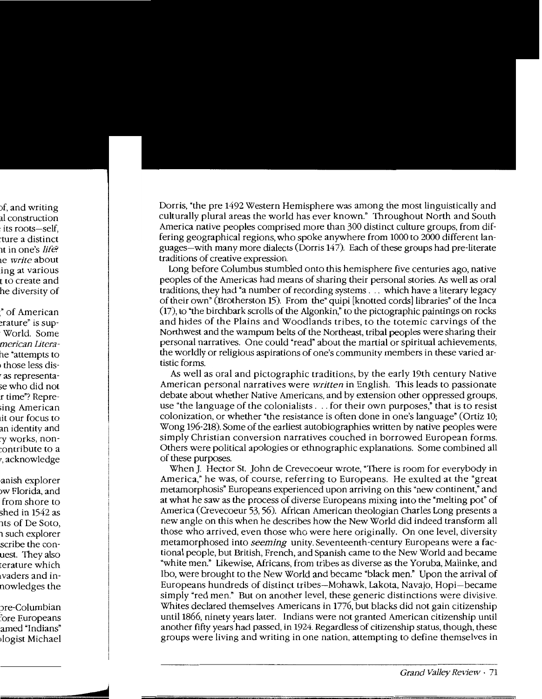Dorris, "the pre 1492 Western Hemisphere was among the most linguistically and culturally plural areas the world has ever known." Throughout North and South America native peoples comprised more than 300 distinct culture groups, from differing geographical regions, who spoke anywhere from 1000 to 2000 different languages-with many more dialects (Dorris 147). Each of these groups had pre-literate traditions of creative expression.

Long before Columbus stumbled onto this hemisphere five centuries ago, native peoples of the Americas had means of sharing their personal stories. As well as oral traditions, they had "a number of recording systems ... which have a literary legacy of their own" (Brotherston 15). From the "quipi [knotted cords] libraries" of the Inca (17), to "the birchbark scrolls of the Algonkin," to the pictographic paintings on rocks and hides of the Plains and Woodlands tribes, to the totemic carvings of the Northwest and the wampum belts of the Northeast, tribal peoples were sharing their personal narratives. One could "read" about the martial or spiritual achievements, the worldly or religious aspirations of one's community members in these varied artistic forms.

As well as oral and pictographic traditions, by the early 19th century Native American personal narratives were *written* in English. This leads to passionate debate about whether Native Americans, and by extension other oppressed groups, use "the language of the colonialists ... for their own purposes," that is to resist colonization, or whether "the resistance is often done in one's language" (Ortiz 10; Wong 196-218). Some of the earliest autobiographies written by native peoples were simply Christian conversion narratives couched in borrowed European forms. Others were political apologies or ethnographic explanations. Some combined all of these purposes.

When]. Hector St. John de Crevecoeur wrote, "There is room for everybody in America," he was, of course, referring to Europeans. He exulted at the "great metamorphosis" Europeans experienced upon arriving on this "new continent," and at what he saw as the process of diverse Europeans mixing into the "melting pot" of America (Crevecoeur 53, 56). African American theologian Charles Long presents a new angle on this when he describes how the New World did indeed transform all those who arrived, even those who were here originally. On one level, diversity metamorphosed into *seeming* unity. Seventeenth-century Europeans were a factional people, but British, French, and Spanish came to the New World and became "white men." Likewise, Africans, from tribes as diverse as the Yoruba, Malinke, and Ibo, were brought to the New World and became "black men." Upon the arrival of Europeans hundreds of distinct tribes-Mohawk, Lakota, Navajo, Hopi-became simply "red men." But on another level, these generic distinctions were divisive. Whites declared themselves Americans in 1776, but blacks did not gain citizenship until 1866, ninety years later. Indians were not granted American citizenship until another fifty years had passed, in 1924. Regardless of citizenship status, though, these groups were living and writing in one nation, attempting to define themselves in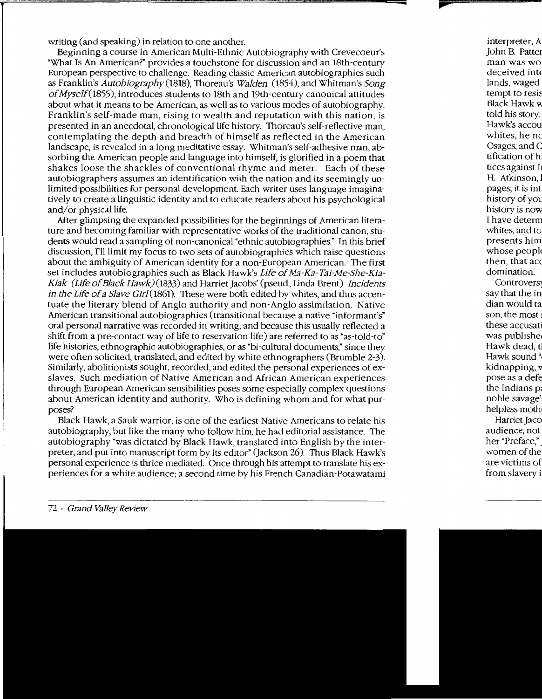writing (and speaking) in relation to one another.

Beginning a course in American Multi-Ethnic Autobiography with Crevecoeur's "What Is An American?" provides a touchstone for discussion and an 18th-century European perspective to challenge. Reading classic American autobiographies such as Franklin's Autobiography (1818), Thoreau's Walden (1854), and Whitman's Song of Myself(1855), introduces students to 18th and 19th-century canonical attitudes about what it means to be American, as well as to various modes of autobiography. Franklin's self-made man, rising to wealth and reputation with this nation, is presented in an anecdotal, chronological life history. Thoreau's self-reflective man, contemplating the depth and breadth of himself as reflected in the American landscape, is revealed in a long meditative essay. Whitman's self-adhesive man, absorbing the American people and language into himself, is glorified in a poem that shakes loose the shackles of conventional rhyme and meter. Each of these autobiographers assumes an identification with the nation and its seemingly unlimited possibilities for personal development. Each writer uses language imaginatively to create a linguistic identity and to educate readers about his psychological and/or physical life.

After glimpsing the expanded possibilities for the beginnings of American literature and becoming familiar with representative works of the traditional canon, students would read a sampling of non-canonical "ethnic autobiographies." In this brief discussion, I'll limit my focus to two sets of autobiographies which raise questions about the ambiguity of American identity for a non-European American. The first set includes autobiographies such as Black Hawk's Life of Ma-Ka-Tai-Me-She-Kia-Kiak (Life of Black Hawk)(l833) and Harriet Jacobs' (pseud., Linda Brent) Incidents in the Life of a Slave Girl (1861). These were both edited by whites, and thus accentuate the literary blend of Anglo authority and non-Anglo assimilation. Native American transitional autobiographies (transitional because a native "informant's" oral personal narrative was recorded in writing, and because this usually reflected a shift from a pre-contact way of life to reservation life) are referred to as "as-told-to" life histories, ethnographic autobiographies, or as "bi-cultural documents," since they were often solicited, translated, and edited by white ethnographers (Brumble 2-3). Similarly, abolitionists sought, recorded, and edited the personal experiences of exslaves. Such mediation of Native American and African American experiences through European American sensibilities poses some especially complex questions about American identity and authority. Who is defining whom and for what purposes?

Black Hawk, a Sauk warrior, is one of the earliest Native Americans to relate his autobiography, but like the many who follow him, he had editorial assistance. The autobiography "was dictated by Black Hawk, translated into English by the interpreter, and put into manuscript form by its editor" (Jackson 26). Thus Black Hawk's personal experience is thrice mediated. Once through his attempt to translate his experiences for a white audience; a second time by his French Canadian-Potawatami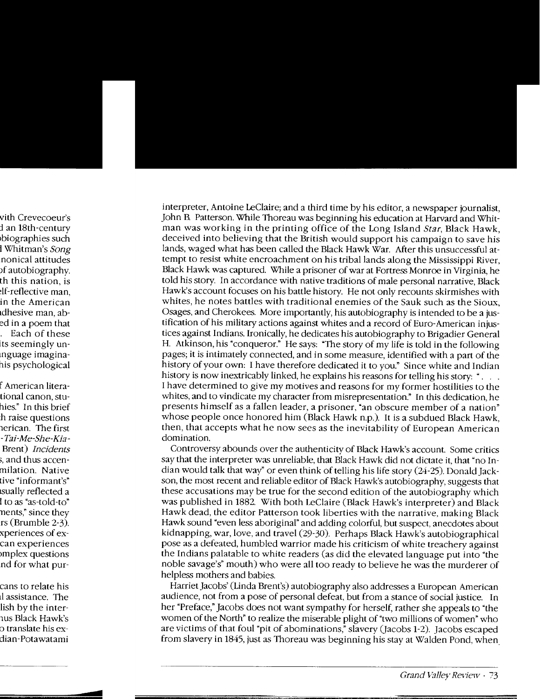interpreter, Antoine LeClaire; and a third time by his editor, a newspaper journalist. John B. Patterson. While Thoreau was beginning his education at Harvard and Whitman was working in the printing office of the Long Island Star, Black Hawk, deceived into believing that the British would support his campaign to save his lands, waged what has been called the Black Hawk War. After this unsuccessful attempt to resist white encroachment on his tribal lands along the Mississippi River. Black Hawk was captured. While a prisoner of war at Fortress Monroe in Virginia, he told his story. In accordance with native traditions of male personal narrative, Black Hawk's account focuses on his battle history. He not only recounts skirmishes with whites, he notes battles with traditional enemies of the Sauk such as the Sioux, Osages, and Cherokees. More importantly, his autobiography is intended to be a justification of his military actions against whites and a record of Euro-American injustices against Indians. Ironically, he dedicates his autobiography to Brigadier General H. Atkinson, his "conqueror." He says: "The story of my life is told in the following pages; it is intimately connected, and in some measure, identified with a part of the history of your own: I have therefore dedicated it to you." Since white and Indian history is now inextricably linked, he explains his reasons for telling his story: "... I have determined to give my motives and reasons for my former hostilities to the whites, and to vindicate my character from misrepresentation." In this dedication, he presents himself as a fallen leader, a prisoner, "an obscure member of a nation" whose people once honored him (Black Hawk n.p.). It is a subdued Black Hawk, then, that accepts what he now sees as the inevitability of European American domination.

Controversy abounds over the authenticity of Black Hawk's account. Some critics say that the interpreter was unreliable, that Black Hawk did not dictate it, that "no Indian would talk that way" or even think of telling his life story (24-25). Donald Jackson, the most recent and reliable editor of Black Hawk's autobiography, suggests that these accusations may be true for the second edition of the autobiography which was published in 1882. With both LeClaire (Black Hawk's interpreter) and Black Hawk dead, the editor Patterson took liberties with the narrative, making Black Hawk sound "even less aboriginal" and adding colorful, but suspect, anecdotes about kidnapping, war, love, and travel (29-30). Perhaps Black Hawk's autobiographical pose as a defeated, humbled warrior made his criticism of white treachery against the Indians palatable to white readers (as did the elevated language put into "the noble savage's" mouth) who were all too ready to believe he was the murderer of helpless mothers and babies.

Harriet Jacobs' (Linda Brent's) autobiography also addresses a European American audience, not from a pose of personal defeat, but from a stance of social justice. In her "Preface," Jacobs does not want sympathy for herself, rather she appeals to "the women of the North" to realize the miserable plight of "two millions of women" who are victims of that foul "pit of abominations," slavery (Jacobs 1-2). Jacobs escaped from slavery in 1845, just as Thoreau was beginning his stay at Walden Pond, when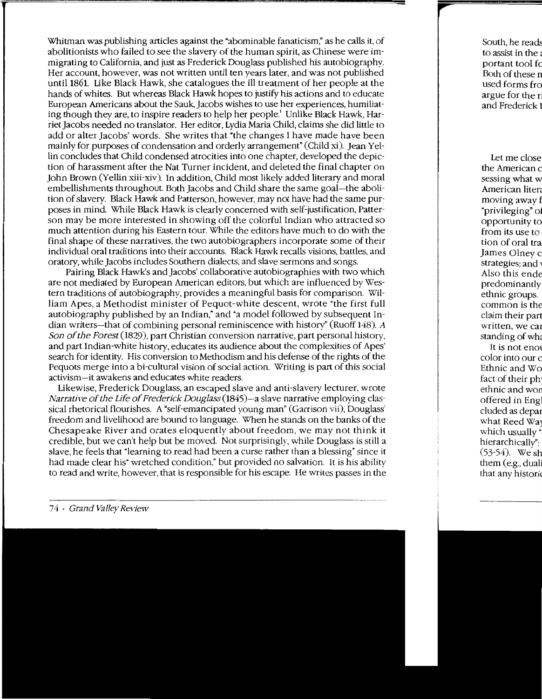Whitman was publishing articles against the "abominable fanaticism; as he calls it, of abolitionists who failed to see the slavery of the human spirit, as Chinese were immigrating to California, and just as Frederick Douglass published his autobiography. Her account, however, was not written until ten years later, and was not published until1861. Like Black Hawk, she catalogues the ill treatment of her people at the hands of whites. But whereas Black Hawk hopes to justify his actions and to educate European Americans about the Sauk, Jacobs wishes to use her experiences, humiliating though they are, to inspire readers to help her people.' Unlike Black Hawk, Harriet Jacobs needed no translator. Her editor, Lydia Maria Child, claims she did little to add or alter Jacobs' words. She writes that "the changes I have made have been mainly for purposes of condensation and orderly arrangement" (Child xi). Jean Yellin concludes that Child condensed atrocities into one chapter, developed the depiction of harassment after the Nat Turner incident, and deleted the final chapter on John Brown (Yellin xiii-xiv). In addition, Child most likely added literary and moral embellishments throughout. Both Jacobs and Child share the same goal-the abolition of slavery. Black Hawk and Patterson, however, may not have had the same purposes in mind. \Vhile Black Hawk is clearly concerned with self-justification, Patterson may be more interested in showing off the colorful Indian who attracted so much attention during his Eastern tour. While the editors have much to do with the final shape of these narratives, the two autobiographers incorporate some of their individual oral traditions into their accounts. Black Hawk recalls visions, battles, and oratory, while Jacobs includes Southern dialects, and slave sermons and songs.

Pairing Black Hawk's and Jacobs' collaborative autobiographies with two which are not mediated by European American editors. but which are influenced by Western traditions of autobiography, provides a meaningful basis for comparison. William Apes, a Methodist minister of Pequot-white descent, wrote "the first full autobiography published by an Indian," and "a model followed by subsequent Indian writers-that of combining personal reminiscence with history" (Ruoff I48). A Son of the Forest (1829), part Christian conversion narrative, part personal history, and part Indian-white history, educates its audience about the complexities of Apes' search for identity. His conversion to Methodism and his defense of the rights of the Pequots merge into a bi-cultural vision of social action. Writing is part of this social activism-it awakens and educates white readers.

Likewise, Frederick Douglass, an escaped slave and anti-slavery lecturer, wrote Narrative of the Life of Frederick Douglass (1845)-a slave narrative employing classical rhetorical flourishes. A "self-emancipated young man" (Garrison vii), Douglass' freedom and livelihood are bound to language. When he stands on the banks of the Chesapeake River and orates eloquently about freedom, we may not think it credible, but we can't help but be moved. Not surprisingly, while Douglass is still a slave, he feels that "learning to read had been a curse rather than a blessing" since it had made clear his" wretched condition," but provided no salvation. It is his ability to read and write, however. that is responsible for his escape. He writes passes in the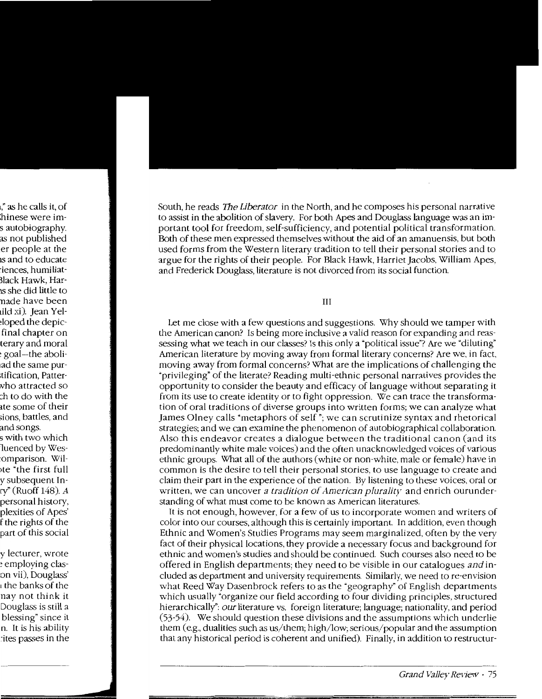South, he reads *The Liberator* in the North, and he composes his personal narrative to assist in the abolition of slavery. For both Apes and Douglass language was an important tool for freedom, self-sufficiency, and potential political transformation. Both of these men expressed themselves without the aid of an amanuensis, but both used forms from the Western literary tradition to tell their personal stories and to argue for the rights of their people. For Black Hawk, Harriet Jacobs, William Apes, and Frederick Douglass, literature is not divorced from its social function.

Ш

Let me close with a few questions and suggestions. Why should we tamper with the American canon? Is being more inclusive a valid reason for expanding and reassessing what we teach in our classes? Is this only a "political issue"? Are we "diluting" American literature by moving away from formal literary concerns? Are we, in fact, moving away from formal concerns? What are the implications of challenging the "privileging" of the literate? Reading multi-ethnic personal narratives provides the opportunity to consider the beauty and efficacy of language without separating it from its use to create identity or to fight oppression. We can trace the transformation of oral traditions of diverse groups into written forms; we can analyze what James Olney calls "metaphors of self"; we can scrutinize syntax and rhetorical strategies; and we can examine the phenomenon of autobiographical collaboration. Also this endeavor creates a dialogue between the traditional canon (and its predominantly white male voices) and the often unacknowledged voices of various ethnic groups. What all of the authors (white or non-white, male or female) have in common is the desire to tell their personal stories, to use language to create and claim their part in the experience of the nation. By listening to these voices, oral or written, we can uncover a tradition of American plurality and enrich ourunderstanding of what must come to be known as American literatures.

It is not enough, however, for a few of us to incorporate women and writers of color into our courses, although this is certainly important. In addition, even though Ethnic and Women's Studies Programs may seem marginalized, often by the very fact of their physical locations, they provide a necessary focus and background for ethnic and women's studies and should be continued. Such courses also need to be offered in English departments; they need to be visible in our catalogues and included as department and university requirements. Similarly, we need to re-envision what Reed Way Dasenbrock refers to as the "geography" of English departments which usually "organize our field according to four dividing principles, structured hierarchically": our literature vs. foreign literature; language; nationality, and period (53-54). We should question these divisions and the assumptions which underlie them (e.g., dualities such as us/them; high/low; serious/popular and the assumption that any historical period is coherent and unified). Finally, in addition to restructur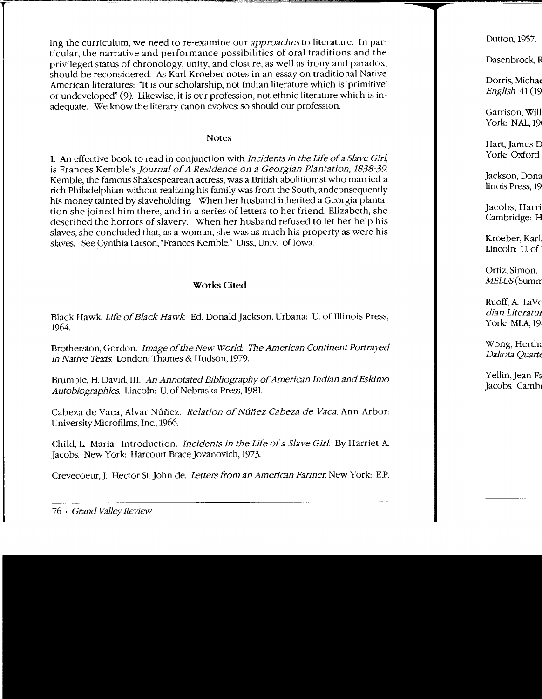ing the curriculum, we need to re-examine our approaches to literature. In particular, the narrative and performance possibilities of oral traditions and the privileged status of chronology, unity, and closure, as well as irony and paradox, should be reconsidered. As Karl Kroeber notes in an essay on traditional Native American literatures: ~It is our scholarship, not Indian literature which is 'primitive' or undeveloped" (9). Likewise. it is our profession, not ethnic literature which is inadequate. We know the literary canon evolves; so should our profession.

#### Notes

1. An effective book to read in conjunction with Incidents in the Life of a Slave Girl, is Frances Kemble's journal of A Residence on a Georgian Plantation, 1838-39. Kemble, the famous Shakespearean actress, was a British abolitionist who married a rich Philadelphian without realizing his family was from the South, andconsequently his money tainted by slaveholding. \Vhen her husband inherited a Georgia plantation she joined him there, and in a series of letters to her friend, Elizabeth, she described the horrors of slavery. When her husband refused to let her help his slaves, she concluded that, as a woman, she was as much his property as were his slaves. See Cynthia Larson, "Frances Kemble." Diss., Univ. of Iowa.

### Works Cited

Black Hawk. Life of Black Hawk. Ed. Donald Jackson. Urbana: U. of Illinois Press, 1964.

Brotherston, Gordon. Image of the New World: The American Continent Portrayed in Native Texts. London: Thames & Hudson, 1979.

Brumble, H. David, III. An Annotated Bibliography of American Indian and Eskimo Autobiographies. Lincoln: U. of Nebraska Press, 1981.

Cabeza de Vaca, Alvar Núñez. Relation of Núñez Cabeza de Vaca. Ann Arbor: University Microfilms, Inc., 1966.

Child, L. Maria. Introduction. *Incidents in the Life of a Slave Girl*. By Harriet A. Jacobs. New York: Harcourt Brace Jovanovich, 1973.

Crevecoeur,]. Hector St.John de. Letters from an American Farmer. New York: E.P.